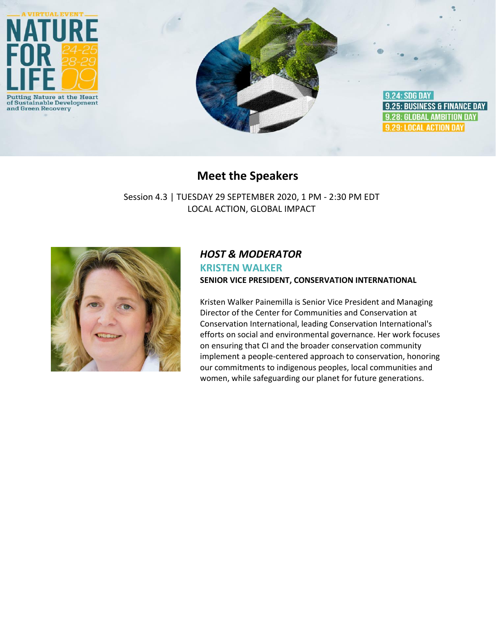

# **Meet the Speakers**

Session 4.3 | TUESDAY 29 SEPTEMBER 2020, 1 PM - 2:30 PM EDT LOCAL ACTION, GLOBAL IMPACT



## *HOST & MODERATOR* **KRISTEN WALKER SENIOR VICE PRESIDENT, CONSERVATION INTERNATIONAL**

Kristen Walker Painemilla is Senior Vice President and Managing Director of the Center for Communities and Conservation at Conservation International, leading Conservation International's efforts on social and environmental governance. Her work focuses on ensuring that CI and the broader conservation community implement a people-centered approach to conservation, honoring our commitments to indigenous peoples, local communities and women, while safeguarding our planet for future generations.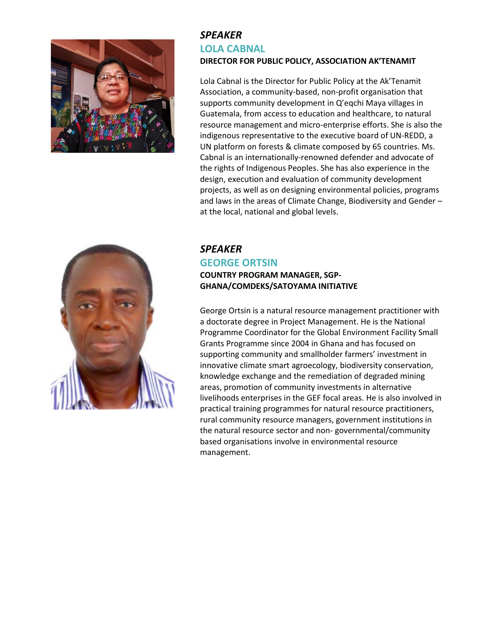

### *SPEAKER* **LOLA CABNAL DIRECTOR FOR PUBLIC POLICY, ASSOCIATION AK'TENAMIT**

Lola Cabnal is the Director for Public Policy at the Ak'Tenamit Association, a community-based, non-profit organisation that supports community development in Q'eqchi Maya villages in Guatemala, from access to education and healthcare, to natural resource management and micro-enterprise efforts. She is also the indigenous representative to the executive board of UN-REDD, a UN platform on forests & climate composed by 65 countries. Ms. Cabnal is an internationally-renowned defender and advocate of the rights of Indigenous Peoples. She has also experience in the design, execution and evaluation of community development projects, as well as on designing environmental policies, programs and laws in the areas of Climate Change, Biodiversity and Gender – at the local, national and global levels.



### *SPEAKER* **GEORGE ORTSIN COUNTRY PROGRAM MANAGER, SGP-GHANA/COMDEKS/SATOYAMA INITIATIVE**

George Ortsin is a natural resource management practitioner with a doctorate degree in Project Management. He is the National Programme Coordinator for the Global Environment Facility Small Grants Programme since 2004 in Ghana and has focused on supporting community and smallholder farmers' investment in innovative climate smart agroecology, biodiversity conservation, knowledge exchange and the remediation of degraded mining areas, promotion of community investments in alternative livelihoods enterprises in the GEF focal areas. He is also involved in practical training programmes for natural resource practitioners, rural community resource managers, government institutions in the natural resource sector and non- governmental/community based organisations involve in environmental resource management.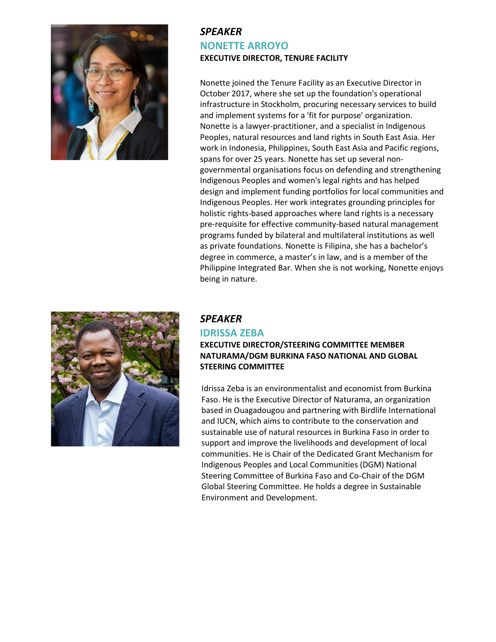

## *SPEAKER* **NONETTE ARROYO EXECUTIVE DIRECTOR, TENURE FACILITY**

Nonette joined the Tenure Facility as an Executive Director in October 2017, where she set up the foundation's operational infrastructure in Stockholm, procuring necessary services to build and implement systems for a 'fit for purpose' organization. Nonette is a lawyer-practitioner, and a specialist in Indigenous Peoples, natural resources and land rights in South East Asia. Her work in Indonesia, Philippines, South East Asia and Pacific regions, spans for over 25 years. Nonette has set up several nongovernmental organisations focus on defending and strengthening Indigenous Peoples and women's legal rights and has helped design and implement funding portfolios for local communities and Indigenous Peoples. Her work integrates grounding principles for holistic rights-based approaches where land rights is a necessary pre-requisite for effective community-based natural management programs funded by bilateral and multilateral institutions as well as private foundations. Nonette is Filipina, she has a bachelor's degree in commerce, a master's in law, and is a member of the Philippine Integrated Bar. When she is not working, Nonette enjoys being in nature.



#### *SPEAKER*

## **IDRISSA ZEBA**

#### **EXECUTIVE DIRECTOR/STEERING COMMITTEE MEMBER NATURAMA/DGM BURKINA FASO NATIONAL AND GLOBAL STEERING COMMITTEE**

Idrissa Zeba is an environmentalist and economist from Burkina Faso. He is the Executive Director of Naturama, an organization based in Ouagadougou and partnering with Birdlife International and IUCN, which aims to contribute to the conservation and sustainable use of natural resources in Burkina Faso in order to support and improve the livelihoods and development of local communities. He is Chair of the Dedicated Grant Mechanism for Indigenous Peoples and Local Communities (DGM) National Steering Committee of Burkina Faso and Co-Chair of the DGM Global Steering Committee. He holds a degree in Sustainable Environment and Development.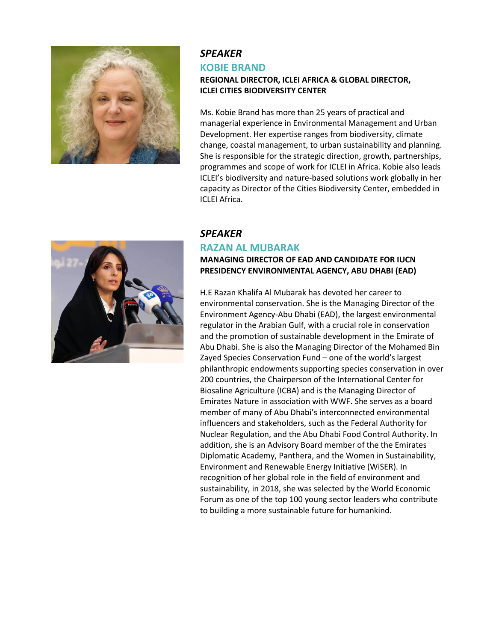

## *SPEAKER*  **KOBIE BRAND**

#### **REGIONAL DIRECTOR, ICLEI AFRICA & GLOBAL DIRECTOR, ICLEI CITIES BIODIVERSITY CENTER**

Ms. Kobie Brand has more than 25 years of practical and managerial experience in Environmental Management and Urban Development. Her expertise ranges from biodiversity, climate change, coastal management, to urban sustainability and planning. She is responsible for the strategic direction, growth, partnerships, programmes and scope of work for ICLEI in Africa. Kobie also leads ICLEI's biodiversity and nature-based solutions work globally in her capacity as Director of the Cities Biodiversity Center, embedded in ICLEI Africa.



### *SPEAKER*  **RAZAN AL MUBARAK**

### **MANAGING DIRECTOR OF EAD AND CANDIDATE FOR IUCN PRESIDENCY ENVIRONMENTAL AGENCY, ABU DHABI (EAD)**

H.E Razan Khalifa Al Mubarak has devoted her career to environmental conservation. She is the Managing Director of the Environment Agency-Abu Dhabi (EAD), the largest environmental regulator in the Arabian Gulf, with a crucial role in conservation and the promotion of sustainable development in the Emirate of Abu Dhabi. She is also the Managing Director of the Mohamed Bin Zayed Species Conservation Fund – one of the world's largest philanthropic endowments supporting species conservation in over 200 countries, the Chairperson of the International Center for Biosaline Agriculture (ICBA) and is the Managing Director of Emirates Nature in association with WWF. She serves as a board member of many of Abu Dhabi's interconnected environmental influencers and stakeholders, such as the Federal Authority for Nuclear Regulation, and the Abu Dhabi Food Control Authority. In addition, she is an Advisory Board member of the the Emirates Diplomatic Academy, Panthera, and the Women in Sustainability, Environment and Renewable Energy Initiative (WiSER). In recognition of her global role in the field of environment and sustainability, in 2018, she was selected by the World Economic Forum as one of the top 100 young sector leaders who contribute to building a more sustainable future for humankind.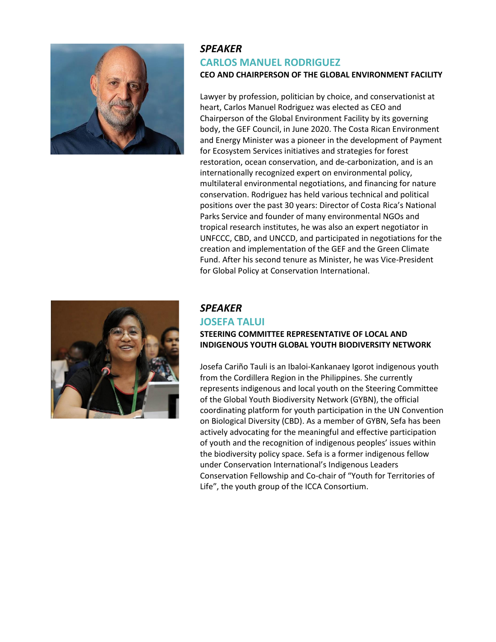

### *SPEAKER*  **CARLOS MANUEL RODRIGUEZ CEO AND CHAIRPERSON OF THE GLOBAL ENVIRONMENT FACILITY**

Lawyer by profession, politician by choice, and conservationist at heart, Carlos Manuel Rodriguez was elected as CEO and Chairperson of the Global Environment Facility by its governing body, the GEF Council, in June 2020. The Costa Rican Environment and Energy Minister was a pioneer in the development of Payment for Ecosystem Services initiatives and strategies for forest restoration, ocean conservation, and de-carbonization, and is an internationally recognized expert on environmental policy, multilateral environmental negotiations, and financing for nature conservation. Rodriguez has held various technical and political positions over the past 30 years: Director of Costa Rica's National Parks Service and founder of many environmental NGOs and tropical research institutes, he was also an expert negotiator in UNFCCC, CBD, and UNCCD, and participated in negotiations for the creation and implementation of the GEF and the Green Climate Fund. After his second tenure as Minister, he was Vice-President for Global Policy at Conservation International.



### *SPEAKER*

#### **JOSEFA TALUI**

#### **STEERING COMMITTEE REPRESENTATIVE OF LOCAL AND INDIGENOUS YOUTH GLOBAL YOUTH BIODIVERSITY NETWORK**

Josefa Cariño Tauli is an Ibaloi-Kankanaey Igorot indigenous youth from the Cordillera Region in the Philippines. She currently represents indigenous and local youth on the Steering Committee of the Global Youth Biodiversity Network (GYBN), the official coordinating platform for youth participation in the UN Convention on Biological Diversity (CBD). As a member of GYBN, Sefa has been actively advocating for the meaningful and effective participation of youth and the recognition of indigenous peoples' issues within the biodiversity policy space. Sefa is a former indigenous fellow under Conservation International's Indigenous Leaders Conservation Fellowship and Co-chair of "Youth for Territories of Life", the youth group of the ICCA Consortium.